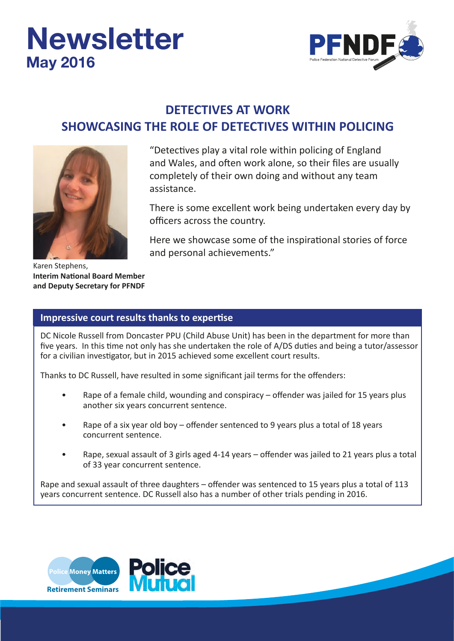# **Newsletter May 2016**



## **DETECTIVES AT WORK SHOWCASING THE ROLE OF DETECTIVES WITHIN POLICING**



Karen Stephens, **Interim National Board Member and Deputy Secretary for PFNDF**

"Detectives play a vital role within policing of England and Wales, and often work alone, so their files are usually completely of their own doing and without any team assistance.

There is some excellent work being undertaken every day by officers across the country.

Here we showcase some of the inspirational stories of force and personal achievements."

#### **Impressive court results thanks to expertise**

DC Nicole Russell from Doncaster PPU (Child Abuse Unit) has been in the department for more than five years. In this time not only has she undertaken the role of A/DS duties and being a tutor/assessor for a civilian investigator, but in 2015 achieved some excellent court results.

Thanks to DC Russell, have resulted in some significant jail terms for the offenders:

- Rape of a female child, wounding and conspiracy offender was jailed for 15 years plus another six years concurrent sentence.
- Rape of a six year old boy offender sentenced to 9 years plus a total of 18 years concurrent sentence.
- Rape, sexual assault of 3 girls aged 4-14 years offender was jailed to 21 years plus a total of 33 year concurrent sentence.

Rape and sexual assault of three daughters – offender was sentenced to 15 years plus a total of 113 years concurrent sentence. DC Russell also has a number of other trials pending in 2016.

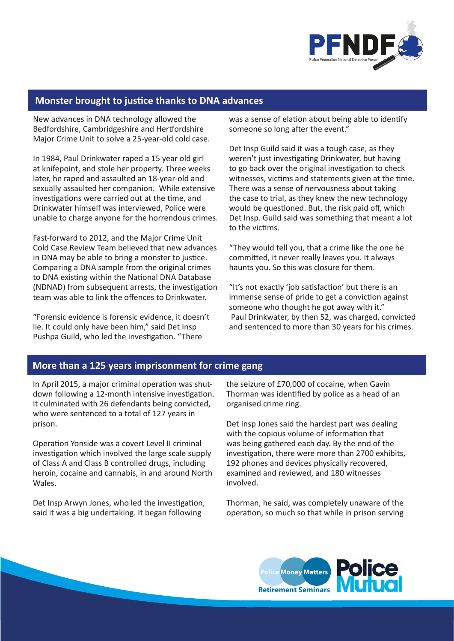

#### **Monster brought to justice thanks to DNA advances**

New advances in DNA technology allowed the Bedfordshire, Cambridgeshire and Hertfordshire Major Crime Unit to solve a 25-year-old cold case.

In 1984, Paul Drinkwater raped a 15 year old girl at knifepoint, and stole her property. Three weeks later, he raped and assaulted an 18-year-old and sexually assaulted her companion. While extensive investigations were carried out at the time, and Drinkwater himself was interviewed, Police were unable to charge anyone for the horrendous crimes.

Fast-forward to 2012, and the Major Crime Unit Cold Case Review Team believed that new advances in DNA may be able to bring a monster to justice. Comparing a DNA sample from the original crimes to DNA existing within the National DNA Database (NDNAD) from subsequent arrests, the investigation team was able to link the offences to Drinkwater.

"Forensic evidence is forensic evidence, it doesn't lie. It could only have been him," said Det Insp Pushpa Guild, who led the investigation. "There

was a sense of elation about being able to identify someone so long after the event."

Det Insp Guild said it was a tough case, as they weren't just investigating Drinkwater, but having to go back over the original investigation to check witnesses, victims and statements given at the time. There was a sense of nervousness about taking the case to trial, as they knew the new technology would be questioned. But, the risk paid off, which Det Insp. Guild said was something that meant a lot to the victims.

"They would tell you, that a crime like the one he committed, it never really leaves you. It always haunts you. So this was closure for them.

"It's not exactly 'job satisfaction' but there is an immense sense of pride to get a conviction against someone who thought he got away with it." Paul Drinkwater, by then 52, was charged, convicted and sentenced to more than 30 years for his crimes.

#### **More than a 125 years imprisonment for crime gang**

In April 2015, a major criminal operation was shutdown following a 12-month intensive investigation. It culminated with 26 defendants being convicted, who were sentenced to a total of 127 years in prison.

Operation Yonside was a covert Level II criminal investigation which involved the large scale supply of Class A and Class B controlled drugs, including heroin, cocaine and cannabis, in and around North Wales.

Det Insp Arwyn Jones, who led the investigation, said it was a big undertaking. It began following

the seizure of £70,000 of cocaine, when Gavin Thorman was identified by police as a head of an organised crime ring.

Det Insp Jones said the hardest part was dealing with the copious volume of information that was being gathered each day. By the end of the investigation, there were more than 2700 exhibits, 192 phones and devices physically recovered, examined and reviewed, and 180 witnesses involved.

Thorman, he said, was completely unaware of the operation, so much so that while in prison serving

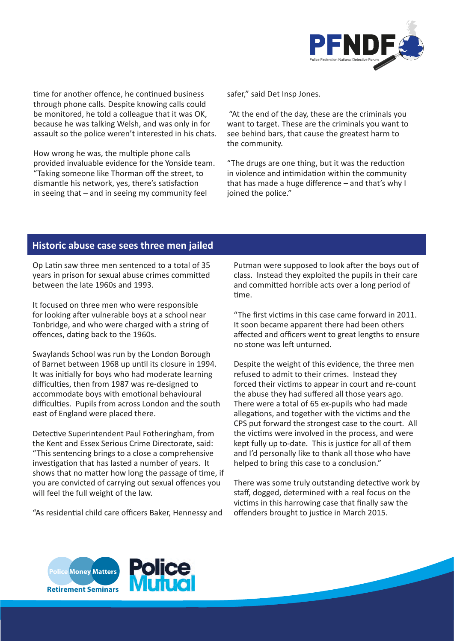

time for another offence, he continued business through phone calls. Despite knowing calls could be monitored, he told a colleague that it was OK, because he was talking Welsh, and was only in for assault so the police weren't interested in his chats.

How wrong he was, the multiple phone calls provided invaluable evidence for the Yonside team. "Taking someone like Thorman off the street, to dismantle his network, yes, there's satisfaction in seeing that – and in seeing my community feel

safer," said Det Insp Jones.

 "At the end of the day, these are the criminals you want to target. These are the criminals you want to see behind bars, that cause the greatest harm to the community.

"The drugs are one thing, but it was the reduction in violence and intimidation within the community that has made a huge difference – and that's why I joined the police."

#### **Historic abuse case sees three men jailed**

Op Latin saw three men sentenced to a total of 35 years in prison for sexual abuse crimes committed between the late 1960s and 1993.

It focused on three men who were responsible for looking after vulnerable boys at a school near Tonbridge, and who were charged with a string of offences, dating back to the 1960s.

Swaylands School was run by the London Borough of Barnet between 1968 up until its closure in 1994. It was initially for boys who had moderate learning difficulties, then from 1987 was re-designed to accommodate boys with emotional behavioural difficulties. Pupils from across London and the south east of England were placed there.

Detective Superintendent Paul Fotheringham, from the Kent and Essex Serious Crime Directorate, said: "This sentencing brings to a close a comprehensive investigation that has lasted a number of years. It shows that no matter how long the passage of time, if you are convicted of carrying out sexual offences you will feel the full weight of the law.

"As residential child care officers Baker, Hennessy and

Putman were supposed to look after the boys out of class. Instead they exploited the pupils in their care and committed horrible acts over a long period of time.

"The first victims in this case came forward in 2011. It soon became apparent there had been others affected and officers went to great lengths to ensure no stone was left unturned.

Despite the weight of this evidence, the three men refused to admit to their crimes. Instead they forced their victims to appear in court and re-count the abuse they had suffered all those years ago. There were a total of 65 ex-pupils who had made allegations, and together with the victims and the CPS put forward the strongest case to the court. All the victims were involved in the process, and were kept fully up to-date. This is justice for all of them and I'd personally like to thank all those who have helped to bring this case to a conclusion."

There was some truly outstanding detective work by staff, dogged, determined with a real focus on the victims in this harrowing case that finally saw the offenders brought to justice in March 2015.